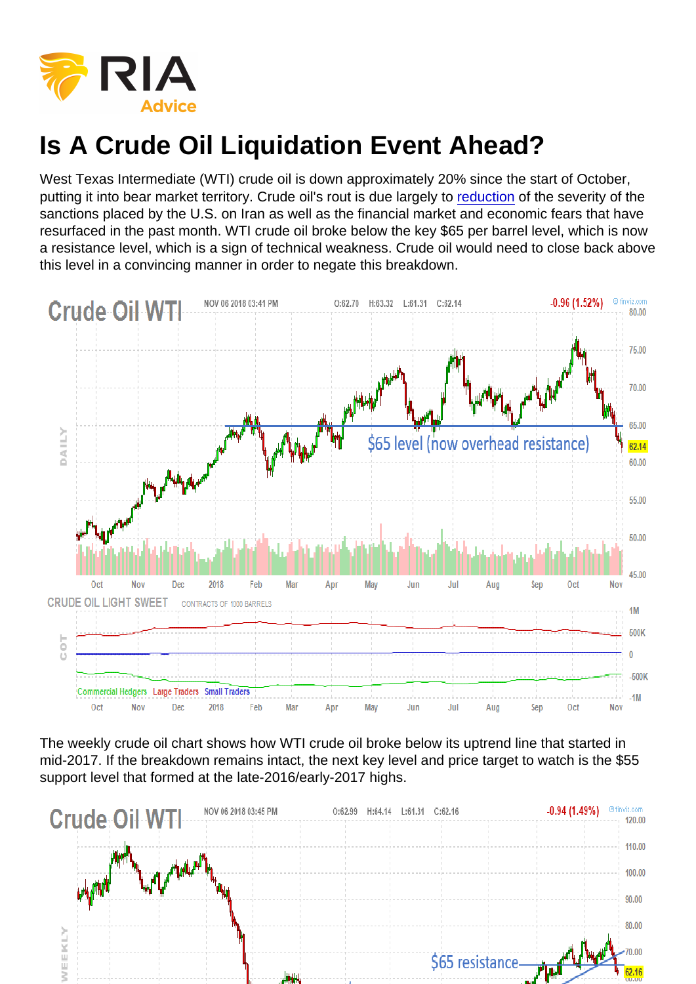## Is A Crude Oil Liquidation Event Ahead?

West Texas Intermediate (WTI) crude oil is down approximately 20% since the start of October, putting it into bear market territory. Crude oil's rout is due largely to [reduction](https://www.cnbc.com/2018/11/06/oil-markets-us-sanctions-on-iran-global-economy-in-focus.html) of the severity of the sanctions placed by the U.S. on Iran as well as the financial market and economic fears that have resurfaced in the past month. WTI crude oil broke below the key \$65 per barrel level, which is now a resistance level, which is a sign of technical weakness. Crude oil would need to close back above this level in a convincing manner in order to negate this breakdown.

The weekly crude oil chart shows how WTI crude oil broke below its uptrend line that started in mid-2017. If the breakdown remains intact, the next key level and price target to watch is the \$55 support level that formed at the late-2016/early-2017 highs.